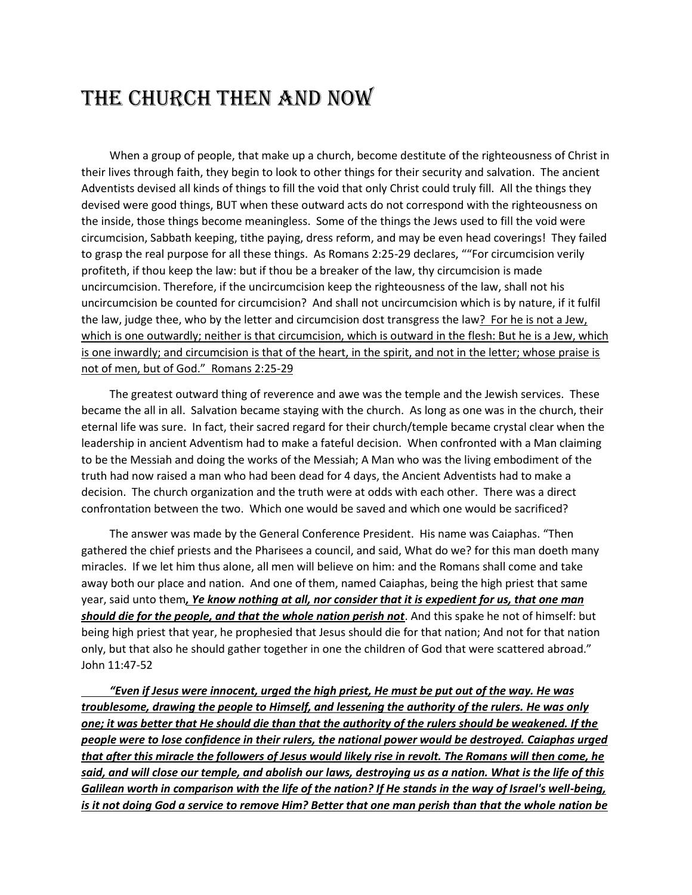## The Church Then and Now

 When a group of people, that make up a church, become destitute of the righteousness of Christ in their lives through faith, they begin to look to other things for their security and salvation. The ancient Adventists devised all kinds of things to fill the void that only Christ could truly fill. All the things they devised were good things, BUT when these outward acts do not correspond with the righteousness on the inside, those things become meaningless. Some of the things the Jews used to fill the void were circumcision, Sabbath keeping, tithe paying, dress reform, and may be even head coverings! They failed to grasp the real purpose for all these things. As Romans 2:25-29 declares, ""For circumcision verily profiteth, if thou keep the law: but if thou be a breaker of the law, thy circumcision is made uncircumcision. Therefore, if the uncircumcision keep the righteousness of the law, shall not his uncircumcision be counted for circumcision? And shall not uncircumcision which is by nature, if it fulfil the law, judge thee, who by the letter and circumcision dost transgress the law? For he is not a Jew, which is one outwardly; neither is that circumcision, which is outward in the flesh: But he is a Jew, which is one inwardly; and circumcision is that of the heart, in the spirit, and not in the letter; whose praise is not of men, but of God." Romans 2:25-29

 The greatest outward thing of reverence and awe was the temple and the Jewish services. These became the all in all. Salvation became staying with the church. As long as one was in the church, their eternal life was sure. In fact, their sacred regard for their church/temple became crystal clear when the leadership in ancient Adventism had to make a fateful decision. When confronted with a Man claiming to be the Messiah and doing the works of the Messiah; A Man who was the living embodiment of the truth had now raised a man who had been dead for 4 days, the Ancient Adventists had to make a decision. The church organization and the truth were at odds with each other. There was a direct confrontation between the two. Which one would be saved and which one would be sacrificed?

 The answer was made by the General Conference President. His name was Caiaphas. "Then gathered the chief priests and the Pharisees a council, and said, What do we? for this man doeth many miracles. If we let him thus alone, all men will believe on him: and the Romans shall come and take away both our place and nation. And one of them, named Caiaphas, being the high priest that same year, said unto them*, Ye know nothing at all, nor consider that it is expedient for us, that one man should die for the people, and that the whole nation perish not*. And this spake he not of himself: but being high priest that year, he prophesied that Jesus should die for that nation; And not for that nation only, but that also he should gather together in one the children of God that were scattered abroad." John 11:47-52

 *"Even if Jesus were innocent, urged the high priest, He must be put out of the way. He was troublesome, drawing the people to Himself, and lessening the authority of the rulers. He was only one; it was better that He should die than that the authority of the rulers should be weakened. If the people were to lose confidence in their rulers, the national power would be destroyed. Caiaphas urged that after this miracle the followers of Jesus would likely rise in revolt. The Romans will then come, he said, and will close our temple, and abolish our laws, destroying us as a nation. What is the life of this Galilean worth in comparison with the life of the nation? If He stands in the way of Israel's well-being, is it not doing God a service to remove Him? Better that one man perish than that the whole nation be*